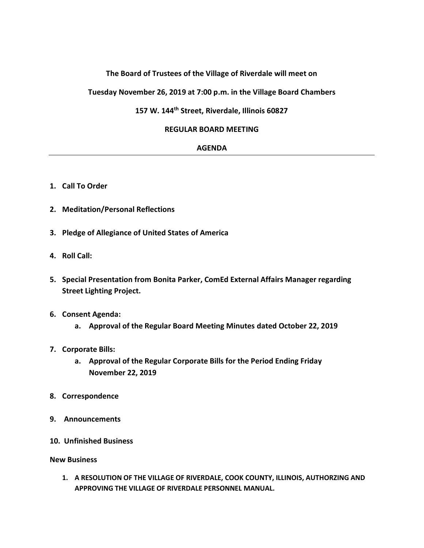## **The Board of Trustees of the Village of Riverdale will meet on**

**Tuesday November 26, 2019 at 7:00 p.m. in the Village Board Chambers**

# **157 W. 144th Street, Riverdale, Illinois 60827**

#### **REGULAR BOARD MEETING**

#### **AGENDA**

- **1. Call To Order**
- **2. Meditation/Personal Reflections**
- **3. Pledge of Allegiance of United States of America**
- **4. Roll Call:**
- **5. Special Presentation from Bonita Parker, ComEd External Affairs Manager regarding Street Lighting Project.**
- **6. Consent Agenda:**
	- **a. Approval of the Regular Board Meeting Minutes dated October 22, 2019**
- **7. Corporate Bills:**
	- **a. Approval of the Regular Corporate Bills for the Period Ending Friday November 22, 2019**
- **8. Correspondence**
- **9. Announcements**
- **10. Unfinished Business**

**New Business**

**1. A RESOLUTION OF THE VILLAGE OF RIVERDALE, COOK COUNTY, ILLINOIS, AUTHORZING AND APPROVING THE VILLAGE OF RIVERDALE PERSONNEL MANUAL.**